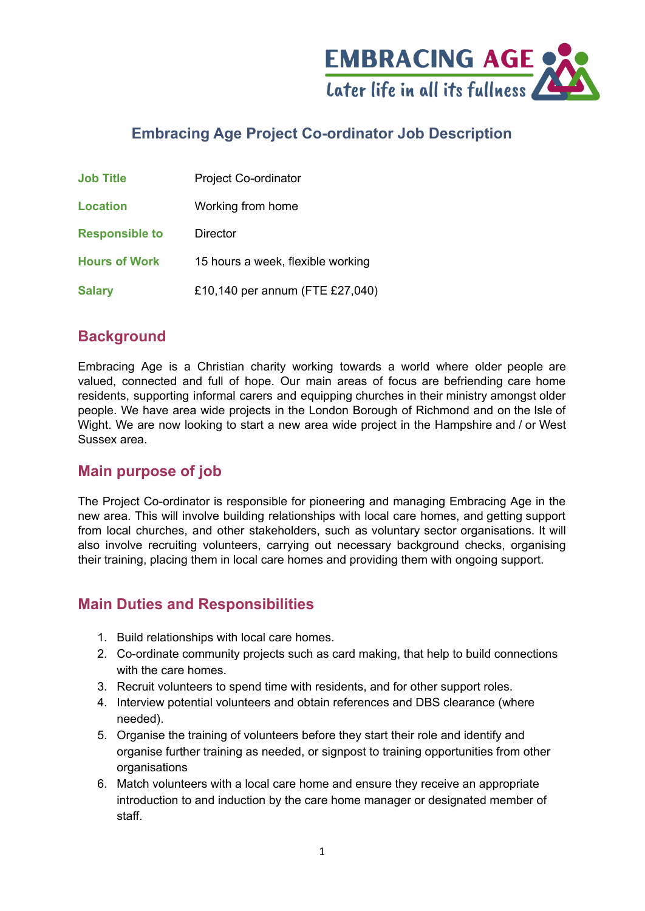

# **Embracing Age Project Co-ordinator Job Description**

| <b>Job Title</b>      | Project Co-ordinator              |
|-----------------------|-----------------------------------|
| <b>Location</b>       | Working from home                 |
| <b>Responsible to</b> | Director                          |
| <b>Hours of Work</b>  | 15 hours a week, flexible working |
| <b>Salary</b>         | £10,140 per annum (FTE £27,040)   |

# **Background**

Embracing Age is a Christian charity working towards a world where older people are valued, connected and full of hope. Our main areas of focus are befriending care home residents, supporting informal carers and equipping churches in their ministry amongst older people. We have area wide projects in the London Borough of Richmond and on the Isle of Wight. We are now looking to start a new area wide project in the Hampshire and / or West Sussex area.

## **Main purpose of job**

The Project Co-ordinator is responsible for pioneering and managing Embracing Age in the new area. This will involve building relationships with local care homes, and getting support from local churches, and other stakeholders, such as voluntary sector organisations. It will also involve recruiting volunteers, carrying out necessary background checks, organising their training, placing them in local care homes and providing them with ongoing support.

## **Main Duties and Responsibilities**

- 1. Build relationships with local care homes.
- 2. Co-ordinate community projects such as card making, that help to build connections with the care homes.
- 3. Recruit volunteers to spend time with residents, and for other support roles.
- 4. Interview potential volunteers and obtain references and DBS clearance (where needed).
- 5. Organise the training of volunteers before they start their role and identify and organise further training as needed, or signpost to training opportunities from other organisations
- 6. Match volunteers with a local care home and ensure they receive an appropriate introduction to and induction by the care home manager or designated member of staff.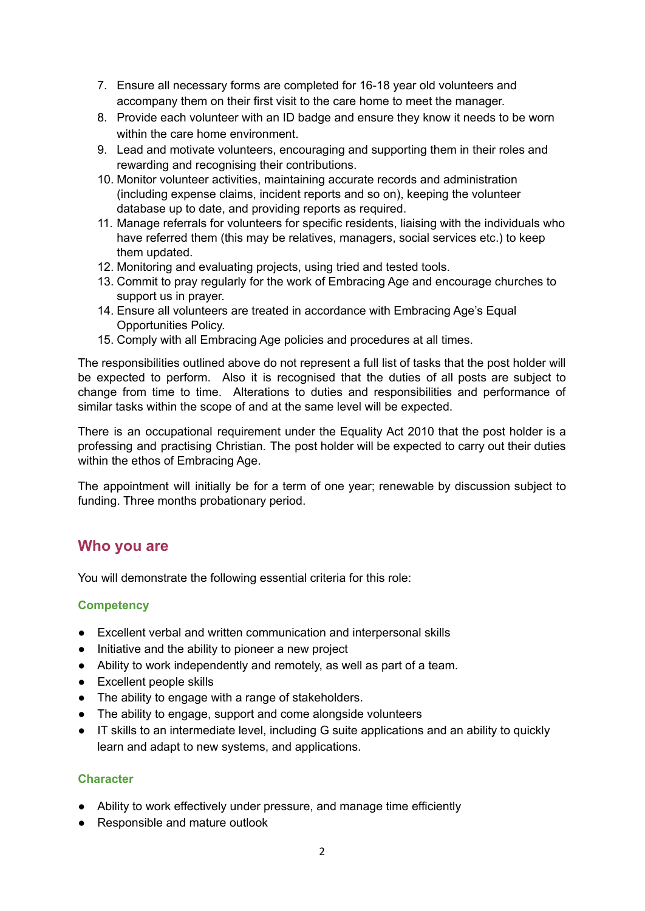- 7. Ensure all necessary forms are completed for 16-18 year old volunteers and accompany them on their first visit to the care home to meet the manager.
- 8. Provide each volunteer with an ID badge and ensure they know it needs to be worn within the care home environment.
- 9. Lead and motivate volunteers, encouraging and supporting them in their roles and rewarding and recognising their contributions.
- 10. Monitor volunteer activities, maintaining accurate records and administration (including expense claims, incident reports and so on), keeping the volunteer database up to date, and providing reports as required.
- 11. Manage referrals for volunteers for specific residents, liaising with the individuals who have referred them (this may be relatives, managers, social services etc.) to keep them updated.
- 12. Monitoring and evaluating projects, using tried and tested tools.
- 13. Commit to pray regularly for the work of Embracing Age and encourage churches to support us in prayer.
- 14. Ensure all volunteers are treated in accordance with Embracing Age's Equal Opportunities Policy.
- 15. Comply with all Embracing Age policies and procedures at all times.

The responsibilities outlined above do not represent a full list of tasks that the post holder will be expected to perform. Also it is recognised that the duties of all posts are subject to change from time to time. Alterations to duties and responsibilities and performance of similar tasks within the scope of and at the same level will be expected.

There is an occupational requirement under the Equality Act 2010 that the post holder is a professing and practising Christian. The post holder will be expected to carry out their duties within the ethos of Embracing Age.

The appointment will initially be for a term of one year; renewable by discussion subject to funding. Three months probationary period.

## **Who you are**

You will demonstrate the following essential criteria for this role:

### **Competency**

- Excellent verbal and written communication and interpersonal skills
- Initiative and the ability to pioneer a new project
- Ability to work independently and remotely, as well as part of a team.
- Excellent people skills
- The ability to engage with a range of stakeholders.
- The ability to engage, support and come alongside volunteers
- IT skills to an intermediate level, including G suite applications and an ability to quickly learn and adapt to new systems, and applications.

#### **Character**

- Ability to work effectively under pressure, and manage time efficiently
- Responsible and mature outlook